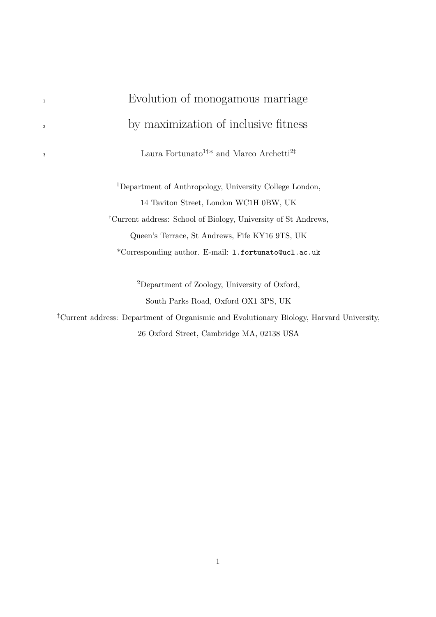# <sup>1</sup> Evolution of monogamous marriage <sup>2</sup> by maximization of inclusive fitness Laura Fortunato $^{1+\ast}$  and Marco Archetti $^{2\ddagger}$ <sup>1</sup>Department of Anthropology, University College London, 14 Taviton Street, London WC1H 0BW, UK †Current address: School of Biology, University of St Andrews, Queen's Terrace, St Andrews, Fife KY16 9TS, UK \*Corresponding author. E-mail: l.fortunato@ucl.ac.uk <sup>2</sup>Department of Zoology, University of Oxford,

3

South Parks Road, Oxford OX1 3PS, UK

‡Current address: Department of Organismic and Evolutionary Biology, Harvard University, 26 Oxford Street, Cambridge MA, 02138 USA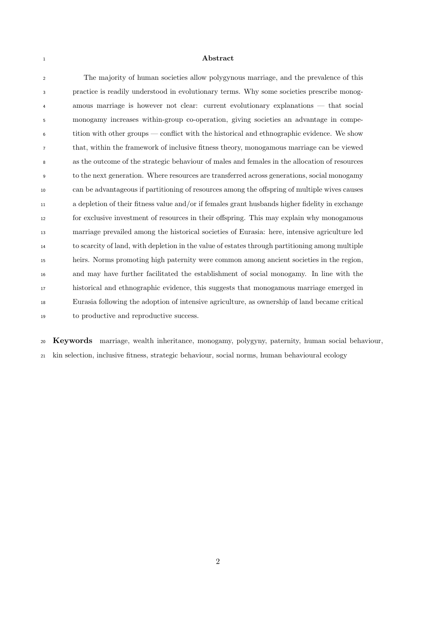#### **Abstract**

 The majority of human societies allow polygynous marriage, and the prevalence of this practice is readily understood in evolutionary terms. Why some societies prescribe monog- amous marriage is however not clear: current evolutionary explanations — that social monogamy increases within-group co-operation, giving societies an advantage in compe- tition with other groups — conflict with the historical and ethnographic evidence. We show that, within the framework of inclusive fitness theory, monogamous marriage can be viewed as the outcome of the strategic behaviour of males and females in the allocation of resources to the next generation. Where resources are transferred across generations, social monogamy can be advantageous if partitioning of resources among the offspring of multiple wives causes a depletion of their fitness value and/or if females grant husbands higher fidelity in exchange for exclusive investment of resources in their offspring. This may explain why monogamous marriage prevailed among the historical societies of Eurasia: here, intensive agriculture led to scarcity of land, with depletion in the value of estates through partitioning among multiple heirs. Norms promoting high paternity were common among ancient societies in the region, and may have further facilitated the establishment of social monogamy. In line with the historical and ethnographic evidence, this suggests that monogamous marriage emerged in Eurasia following the adoption of intensive agriculture, as ownership of land became critical to productive and reproductive success.

 Keywords marriage, wealth inheritance, monogamy, polygyny, paternity, human social behaviour, kin selection, inclusive fitness, strategic behaviour, social norms, human behavioural ecology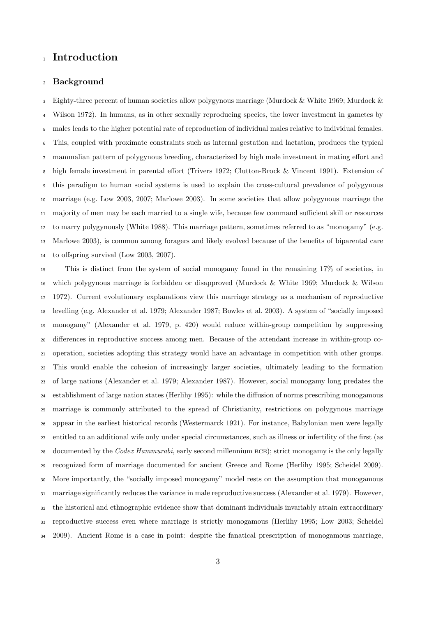## <sup>1</sup> Introduction

## Background

 Eighty-three percent of human societies allow polygynous marriage (Murdock & White 1969; Murdock & Wilson 1972). In humans, as in other sexually reproducing species, the lower investment in gametes by males leads to the higher potential rate of reproduction of individual males relative to individual females. This, coupled with proximate constraints such as internal gestation and lactation, produces the typical mammalian pattern of polygynous breeding, characterized by high male investment in mating effort and high female investment in parental effort (Trivers 1972; Clutton-Brock & Vincent 1991). Extension of this paradigm to human social systems is used to explain the cross-cultural prevalence of polygynous marriage (e.g. Low 2003, 2007; Marlowe 2003). In some societies that allow polygynous marriage the majority of men may be each married to a single wife, because few command sufficient skill or resources to marry polygynously (White 1988). This marriage pattern, sometimes referred to as "monogamy" (e.g. Marlowe 2003), is common among foragers and likely evolved because of the benefits of biparental care to offspring survival (Low 2003, 2007).

 This is distinct from the system of social monogamy found in the remaining 17% of societies, in which polygynous marriage is forbidden or disapproved (Murdock & White 1969; Murdock & Wilson 1972). Current evolutionary explanations view this marriage strategy as a mechanism of reproductive levelling (e.g. Alexander et al. 1979; Alexander 1987; Bowles et al. 2003). A system of "socially imposed monogamy" (Alexander et al. 1979, p. 420) would reduce within-group competition by suppressing differences in reproductive success among men. Because of the attendant increase in within-group co- operation, societies adopting this strategy would have an advantage in competition with other groups. This would enable the cohesion of increasingly larger societies, ultimately leading to the formation of large nations (Alexander et al. 1979; Alexander 1987). However, social monogamy long predates the establishment of large nation states (Herlihy 1995): while the diffusion of norms prescribing monogamous marriage is commonly attributed to the spread of Christianity, restrictions on polygynous marriage appear in the earliest historical records (Westermarck 1921). For instance, Babylonian men were legally entitled to an additional wife only under special circumstances, such as illness or infertility of the first (as 28 documented by the Codex Hammurabi, early second millennium BCE); strict monogamy is the only legally recognized form of marriage documented for ancient Greece and Rome (Herlihy 1995; Scheidel 2009). More importantly, the "socially imposed monogamy" model rests on the assumption that monogamous marriage significantly reduces the variance in male reproductive success (Alexander et al. 1979). However, the historical and ethnographic evidence show that dominant individuals invariably attain extraordinary reproductive success even where marriage is strictly monogamous (Herlihy 1995; Low 2003; Scheidel 2009). Ancient Rome is a case in point: despite the fanatical prescription of monogamous marriage,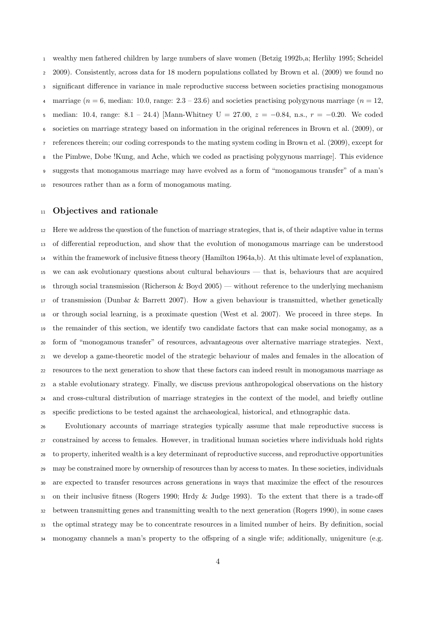wealthy men fathered children by large numbers of slave women (Betzig 1992b,a; Herlihy 1995; Scheidel 2009). Consistently, across data for 18 modern populations collated by Brown et al. (2009) we found no significant difference in variance in male reproductive success between societies practising monogamous 4 marriage ( $n = 6$ , median: 10.0, range:  $2.3 - 23.6$ ) and societies practising polygynous marriage ( $n = 12$ , 5 median: 10.4, range:  $8.1 - 24.4$ ) [Mann-Whitney U = 27.00,  $z = -0.84$ , n.s.,  $r = -0.20$ . We coded societies on marriage strategy based on information in the original references in Brown et al. (2009), or references therein; our coding corresponds to the mating system coding in Brown et al. (2009), except for the Pimbwe, Dobe !Kung, and Ache, which we coded as practising polygynous marriage]. This evidence suggests that monogamous marriage may have evolved as a form of "monogamous transfer" of a man's resources rather than as a form of monogamous mating.

## <sup>11</sup> Objectives and rationale

 Here we address the question of the function of marriage strategies, that is, of their adaptive value in terms of differential reproduction, and show that the evolution of monogamous marriage can be understood within the framework of inclusive fitness theory (Hamilton 1964a,b). At this ultimate level of explanation, we can ask evolutionary questions about cultural behaviours — that is, behaviours that are acquired 16 through social transmission (Richerson & Boyd 2005) — without reference to the underlying mechanism of transmission (Dunbar & Barrett 2007). How a given behaviour is transmitted, whether genetically or through social learning, is a proximate question (West et al. 2007). We proceed in three steps. In the remainder of this section, we identify two candidate factors that can make social monogamy, as a form of "monogamous transfer" of resources, advantageous over alternative marriage strategies. Next, we develop a game-theoretic model of the strategic behaviour of males and females in the allocation of resources to the next generation to show that these factors can indeed result in monogamous marriage as a stable evolutionary strategy. Finally, we discuss previous anthropological observations on the history and cross-cultural distribution of marriage strategies in the context of the model, and briefly outline specific predictions to be tested against the archaeological, historical, and ethnographic data.

 Evolutionary accounts of marriage strategies typically assume that male reproductive success is constrained by access to females. However, in traditional human societies where individuals hold rights to property, inherited wealth is a key determinant of reproductive success, and reproductive opportunities may be constrained more by ownership of resources than by access to mates. In these societies, individuals are expected to transfer resources across generations in ways that maximize the effect of the resources on their inclusive fitness (Rogers 1990; Hrdy & Judge 1993). To the extent that there is a trade-off between transmitting genes and transmitting wealth to the next generation (Rogers 1990), in some cases the optimal strategy may be to concentrate resources in a limited number of heirs. By definition, social monogamy channels a man's property to the offspring of a single wife; additionally, unigeniture (e.g.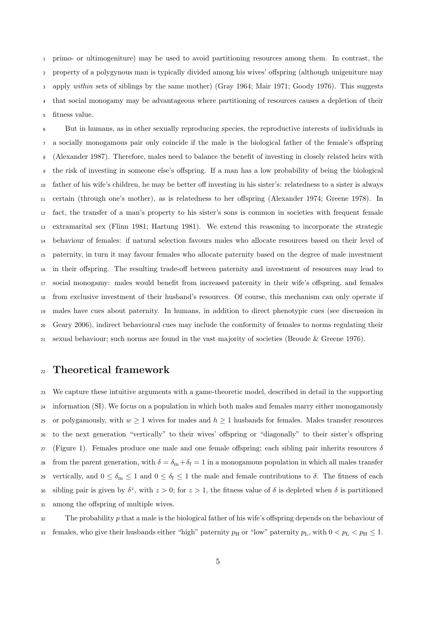primo- or ultimogeniture) may be used to avoid partitioning resources among them. In contrast, the property of a polygynous man is typically divided among his wives' offspring (although unigeniture may apply within sets of siblings by the same mother) (Gray 1964; Mair 1971; Goody 1976). This suggests that social monogamy may be advantageous where partitioning of resources causes a depletion of their fitness value.

 But in humans, as in other sexually reproducing species, the reproductive interests of individuals in a socially monogamous pair only coincide if the male is the biological father of the female's offspring (Alexander 1987). Therefore, males need to balance the benefit of investing in closely related heirs with the risk of investing in someone else's offspring. If a man has a low probability of being the biological father of his wife's children, he may be better off investing in his sister's: relatedness to a sister is always certain (through one's mother), as is relatedness to her offspring (Alexander 1974; Greene 1978). In fact, the transfer of a man's property to his sister's sons is common in societies with frequent female extramarital sex (Flinn 1981; Hartung 1981). We extend this reasoning to incorporate the strategic behaviour of females: if natural selection favours males who allocate resources based on their level of paternity, in turn it may favour females who allocate paternity based on the degree of male investment in their offspring. The resulting trade-off between paternity and investment of resources may lead to social monogamy: males would benefit from increased paternity in their wife's offspring, and females from exclusive investment of their husband's resources. Of course, this mechanism can only operate if males have cues about paternity. In humans, in addition to direct phenotypic cues (see discussion in Geary 2006), indirect behavioural cues may include the conformity of females to norms regulating their sexual behaviour; such norms are found in the vast majority of societies (Broude & Greene 1976).

## Theoretical framework

 We capture these intuitive arguments with a game-theoretic model, described in detail in the supporting information (SI). We focus on a population in which both males and females marry either monogamously 25 or polygamously, with  $w \ge 1$  wives for males and  $h \ge 1$  husbands for females. Males transfer resources to the next generation "vertically" to their wives' offspring or "diagonally" to their sister's offspring 27 (Figure 1). Females produce one male and one female offspring; each sibling pair inherits resources  $\delta$ 28 from the parent generation, with  $\delta = \delta_m + \delta_f = 1$  in a monogamous population in which all males transfer 29 vertically, and  $0 \le \delta_m \le 1$  and  $0 \le \delta_f \le 1$  the male and female contributions to  $\delta$ . The fitness of each so sibling pair is given by  $\delta^z$ , with  $z > 0$ ; for  $z > 1$ , the fitness value of  $\delta$  is depleted when  $\delta$  is partitioned among the offspring of multiple wives.

 The probability p that a male is the biological father of his wife's offspring depends on the behaviour of 33 females, who give their husbands either "high" paternity  $p_H$  or "low" paternity  $p_L$ , with  $0 < p_L < p_H \leq 1$ .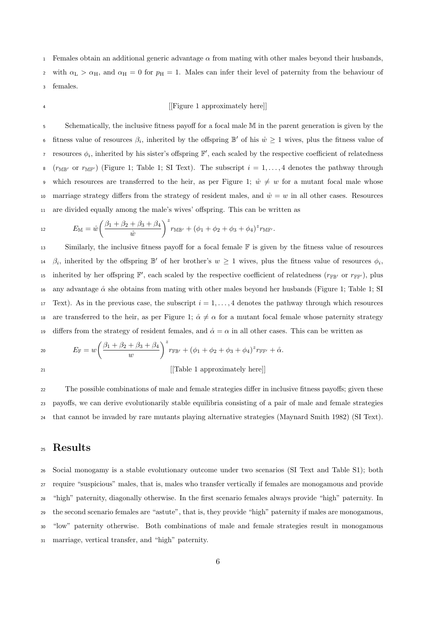1 Females obtain an additional generic advantage  $\alpha$  from mating with other males beyond their husbands, 2 with  $\alpha_{\rm L} > \alpha_{\rm H}$ , and  $\alpha_{\rm H} = 0$  for  $p_{\rm H} = 1$ . Males can infer their level of paternity from the behaviour of <sup>3</sup> females.

### <sup>4</sup> [Figure 1 approximately here]]

<sup>5</sup> Schematically, the inclusive fitness payoff for a focal male M in the parent generation is given by the 6 fitness value of resources  $\beta_i$ , inherited by the offspring  $\mathbb{B}'$  of his  $\mathring{w} \geq 1$  wives, plus the fitness value of <sup>7</sup> resources  $\phi_i$ , inherited by his sister's offspring  $\mathbb{F}'$ , each scaled by the respective coefficient of relatedness 8 ( $r_{\text{MIF}}$  or  $r_{\text{MIF}}$ ) (Figure 1; Table 1; SI Text). The subscript  $i = 1, \ldots, 4$  denotes the pathway through 9 which resources are transferred to the heir, as per Figure 1;  $\mathring{w} \neq w$  for a mutant focal male whose 10 marriage strategy differs from the strategy of resident males, and  $\mathring{w} = w$  in all other cases. Resources <sup>11</sup> are divided equally among the male's wives' offspring. This can be written as

$$
E_{\mathbb{M}} = \mathring{w} \left( \frac{\beta_1 + \beta_2 + \beta_3 + \beta_4}{\mathring{w}} \right)^{z} r_{\mathbb{M} \mathbb{B}'} + (\phi_1 + \phi_2 + \phi_3 + \phi_4)^{z} r_{\mathbb{M} \mathbb{F}'}.
$$

<sup>13</sup> Similarly, the inclusive fitness payoff for a focal female F is given by the fitness value of resources <sup>14</sup>  $\beta_i$ , inherited by the offspring  $\mathbb{B}'$  of her brother's  $w \geq 1$  wives, plus the fitness value of resources  $\phi_i$ , is inherited by her offspring  $\mathbb{F}'$ , each scaled by the respective coefficient of relatedness  $(r_{\mathbb{FF}'})$  or  $r_{\mathbb{FF}'})$ , plus 16 any advantage  $\alpha$  she obtains from mating with other males beyond her husbands (Figure 1; Table 1; SI 17 Text). As in the previous case, the subscript  $i = 1, \ldots, 4$  denotes the pathway through which resources 18 are transferred to the heir, as per Figure 1;  $\alpha \neq \alpha$  for a mutant focal female whose paternity strategy 19 differs from the strategy of resident females, and  $\alpha = \alpha$  in all other cases. This can be written as

20 
$$
E_{\mathbb{F}} = w \left( \frac{\beta_1 + \beta_2 + \beta_3 + \beta_4}{w} \right)^z r_{\mathbb{F} \mathbb{B}'} + (\phi_1 + \phi_2 + \phi_3 + \phi_4)^z r_{\mathbb{F} \mathbb{F}'} + \alpha.
$$

[[Table 1 approximately here]]

<sup>22</sup> The possible combinations of male and female strategies differ in inclusive fitness payoffs; given these <sup>23</sup> payoffs, we can derive evolutionarily stable equilibria consisting of a pair of male and female strategies <sup>24</sup> that cannot be invaded by rare mutants playing alternative strategies (Maynard Smith 1982) (SI Text).

# <sup>25</sup> Results

 Social monogamy is a stable evolutionary outcome under two scenarios (SI Text and Table S1); both require "suspicious" males, that is, males who transfer vertically if females are monogamous and provide "high" paternity, diagonally otherwise. In the first scenario females always provide "high" paternity. In the second scenario females are "astute", that is, they provide "high" paternity if males are monogamous, "low" paternity otherwise. Both combinations of male and female strategies result in monogamous marriage, vertical transfer, and "high" paternity.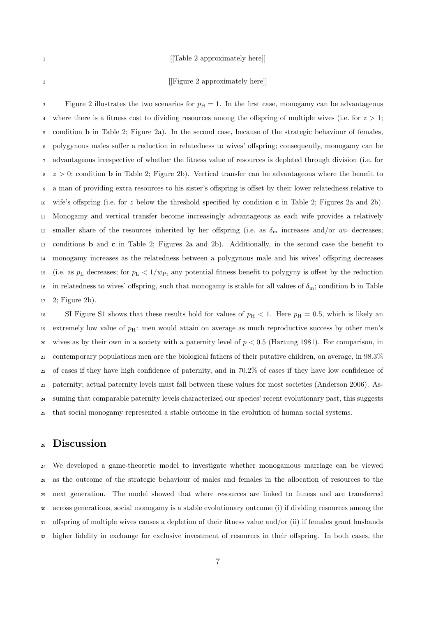#### <sup>1</sup> [[Table 2 approximately here]]

## <sup>2</sup> [[Figure 2 approximately here]]

3 Figure 2 illustrates the two scenarios for  $p_H = 1$ . In the first case, monogamy can be advantageous 4 where there is a fitness cost to dividing resources among the offspring of multiple wives (i.e. for  $z > 1$ ; condition b in Table 2; Figure 2a). In the second case, because of the strategic behaviour of females, polygynous males suffer a reduction in relatedness to wives' offspring; consequently, monogamy can be advantageous irrespective of whether the fitness value of resources is depleted through division (i.e. for  $\infty$  z > 0; condition b in Table 2; Figure 2b). Vertical transfer can be advantageous where the benefit to a man of providing extra resources to his sister's offspring is offset by their lower relatedness relative to 10 wife's offspring (i.e. for z below the threshold specified by condition c in Table 2; Figures 2a and 2b). Monogamy and vertical transfer become increasingly advantageous as each wife provides a relatively 12 smaller share of the resources inherited by her offspring (i.e. as  $\delta_{\rm m}$  increases and/or  $w_{\rm P}$  decreases; conditions b and c in Table 2; Figures 2a and 2b). Additionally, in the second case the benefit to monogamy increases as the relatedness between a polygynous male and his wives' offspring decreases 15 (i.e. as  $p_L$  decreases; for  $p_L < 1/w_P$ , any potential fitness benefit to polygyny is offset by the reduction 16 in relatedness to wives' offspring, such that monogamy is stable for all values of  $\delta_{m}$ ; condition **b** in Table 2; Figure 2b).

18 SI Figure S1 shows that these results hold for values of  $p_H < 1$ . Here  $p_H = 0.5$ , which is likely an extremely low value of pH: men would attain on average as much reproductive success by other men's 20 wives as by their own in a society with a paternity level of  $p < 0.5$  (Hartung 1981). For comparison, in contemporary populations men are the biological fathers of their putative children, on average, in 98.3% of cases if they have high confidence of paternity, and in 70.2% of cases if they have low confidence of paternity; actual paternity levels must fall between these values for most societies (Anderson 2006). As- suming that comparable paternity levels characterized our species' recent evolutionary past, this suggests that social monogamy represented a stable outcome in the evolution of human social systems.

## Discussion

 We developed a game-theoretic model to investigate whether monogamous marriage can be viewed as the outcome of the strategic behaviour of males and females in the allocation of resources to the next generation. The model showed that where resources are linked to fitness and are transferred across generations, social monogamy is a stable evolutionary outcome (i) if dividing resources among the offspring of multiple wives causes a depletion of their fitness value and/or (ii) if females grant husbands higher fidelity in exchange for exclusive investment of resources in their offspring. In both cases, the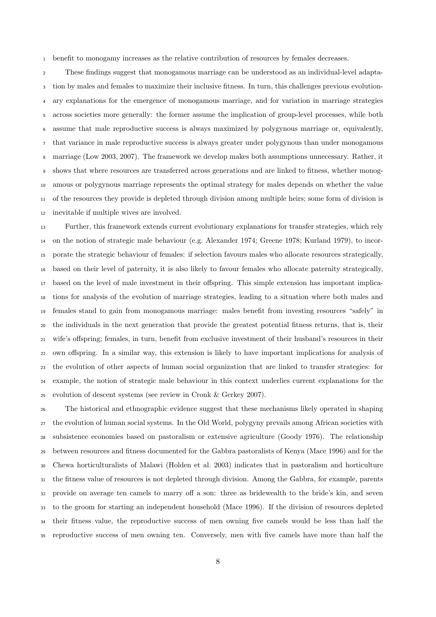benefit to monogamy increases as the relative contribution of resources by females decreases.

 These findings suggest that monogamous marriage can be understood as an individual-level adapta- tion by males and females to maximize their inclusive fitness. In turn, this challenges previous evolution- ary explanations for the emergence of monogamous marriage, and for variation in marriage strategies across societies more generally: the former assume the implication of group-level processes, while both assume that male reproductive success is always maximized by polygynous marriage or, equivalently, that variance in male reproductive success is always greater under polygynous than under monogamous marriage (Low 2003, 2007). The framework we develop makes both assumptions unnecessary. Rather, it shows that where resources are transferred across generations and are linked to fitness, whether monog- amous or polygynous marriage represents the optimal strategy for males depends on whether the value of the resources they provide is depleted through division among multiple heirs; some form of division is inevitable if multiple wives are involved.

 Further, this framework extends current evolutionary explanations for transfer strategies, which rely on the notion of strategic male behaviour (e.g. Alexander 1974; Greene 1978; Kurland 1979), to incor- porate the strategic behaviour of females: if selection favours males who allocate resources strategically, based on their level of paternity, it is also likely to favour females who allocate paternity strategically, based on the level of male investment in their offspring. This simple extension has important implica- tions for analysis of the evolution of marriage strategies, leading to a situation where both males and females stand to gain from monogamous marriage: males benefit from investing resources "safely" in the individuals in the next generation that provide the greatest potential fitness returns, that is, their wife's offspring; females, in turn, benefit from exclusive investment of their husband's resources in their own offspring. In a similar way, this extension is likely to have important implications for analysis of the evolution of other aspects of human social organization that are linked to transfer strategies: for example, the notion of strategic male behaviour in this context underlies current explanations for the evolution of descent systems (see review in Cronk & Gerkey 2007).

 The historical and ethnographic evidence suggest that these mechanisms likely operated in shaping the evolution of human social systems. In the Old World, polygyny prevails among African societies with subsistence economies based on pastoralism or extensive agriculture (Goody 1976). The relationship between resources and fitness documented for the Gabbra pastoralists of Kenya (Mace 1996) and for the Chewa horticulturalists of Malawi (Holden et al. 2003) indicates that in pastoralism and horticulture the fitness value of resources is not depleted through division. Among the Gabbra, for example, parents provide on average ten camels to marry off a son: three as bridewealth to the bride's kin, and seven to the groom for starting an independent household (Mace 1996). If the division of resources depleted their fitness value, the reproductive success of men owning five camels would be less than half the reproductive success of men owning ten. Conversely, men with five camels have more than half the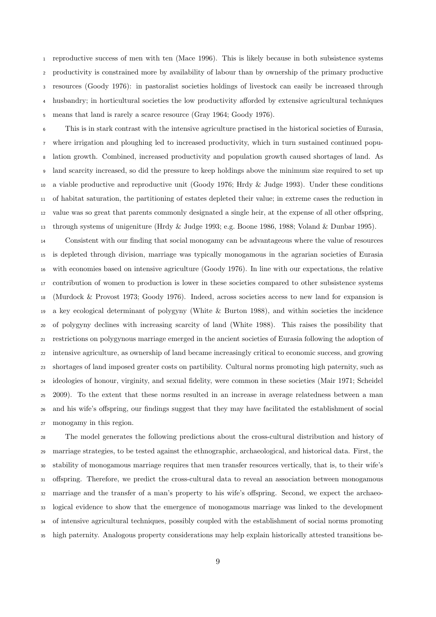reproductive success of men with ten (Mace 1996). This is likely because in both subsistence systems productivity is constrained more by availability of labour than by ownership of the primary productive resources (Goody 1976): in pastoralist societies holdings of livestock can easily be increased through husbandry; in horticultural societies the low productivity afforded by extensive agricultural techniques means that land is rarely a scarce resource (Gray 1964; Goody 1976).

 This is in stark contrast with the intensive agriculture practised in the historical societies of Eurasia, where irrigation and ploughing led to increased productivity, which in turn sustained continued popu- lation growth. Combined, increased productivity and population growth caused shortages of land. As land scarcity increased, so did the pressure to keep holdings above the minimum size required to set up a viable productive and reproductive unit (Goody 1976; Hrdy & Judge 1993). Under these conditions of habitat saturation, the partitioning of estates depleted their value; in extreme cases the reduction in value was so great that parents commonly designated a single heir, at the expense of all other offspring, through systems of unigeniture (Hrdy & Judge 1993; e.g. Boone 1986, 1988; Voland & Dunbar 1995).

 Consistent with our finding that social monogamy can be advantageous where the value of resources is depleted through division, marriage was typically monogamous in the agrarian societies of Eurasia with economies based on intensive agriculture (Goody 1976). In line with our expectations, the relative contribution of women to production is lower in these societies compared to other subsistence systems (Murdock & Provost 1973; Goody 1976). Indeed, across societies access to new land for expansion is a key ecological determinant of polygyny (White & Burton 1988), and within societies the incidence of polygyny declines with increasing scarcity of land (White 1988). This raises the possibility that restrictions on polygynous marriage emerged in the ancient societies of Eurasia following the adoption of intensive agriculture, as ownership of land became increasingly critical to economic success, and growing shortages of land imposed greater costs on partibility. Cultural norms promoting high paternity, such as ideologies of honour, virginity, and sexual fidelity, were common in these societies (Mair 1971; Scheidel 2009). To the extent that these norms resulted in an increase in average relatedness between a man and his wife's offspring, our findings suggest that they may have facilitated the establishment of social monogamy in this region.

 The model generates the following predictions about the cross-cultural distribution and history of marriage strategies, to be tested against the ethnographic, archaeological, and historical data. First, the stability of monogamous marriage requires that men transfer resources vertically, that is, to their wife's offspring. Therefore, we predict the cross-cultural data to reveal an association between monogamous marriage and the transfer of a man's property to his wife's offspring. Second, we expect the archaeo- logical evidence to show that the emergence of monogamous marriage was linked to the development of intensive agricultural techniques, possibly coupled with the establishment of social norms promoting high paternity. Analogous property considerations may help explain historically attested transitions be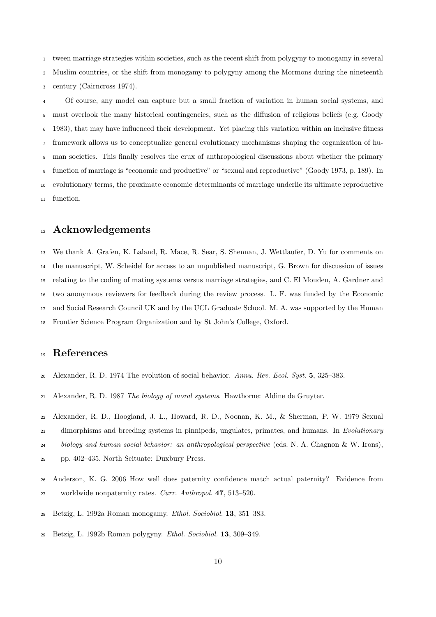tween marriage strategies within societies, such as the recent shift from polygyny to monogamy in several Muslim countries, or the shift from monogamy to polygyny among the Mormons during the nineteenth century (Cairncross 1974).

 Of course, any model can capture but a small fraction of variation in human social systems, and must overlook the many historical contingencies, such as the diffusion of religious beliefs (e.g. Goody 1983), that may have influenced their development. Yet placing this variation within an inclusive fitness framework allows us to conceptualize general evolutionary mechanisms shaping the organization of hu- man societies. This finally resolves the crux of anthropological discussions about whether the primary function of marriage is "economic and productive" or "sexual and reproductive" (Goody 1973, p. 189). In evolutionary terms, the proximate economic determinants of marriage underlie its ultimate reproductive function.

## <sup>12</sup> Acknowledgements

 We thank A. Grafen, K. Laland, R. Mace, R. Sear, S. Shennan, J. Wettlaufer, D. Yu for comments on the manuscript, W. Scheidel for access to an unpublished manuscript, G. Brown for discussion of issues relating to the coding of mating systems versus marriage strategies, and C. El Mouden, A. Gardner and two anonymous reviewers for feedback during the review process. L. F. was funded by the Economic and Social Research Council UK and by the UCL Graduate School. M. A. was supported by the Human Frontier Science Program Organization and by St John's College, Oxford.

# References

- Alexander, R. D. 1974 The evolution of social behavior. Annu. Rev. Ecol. Syst. 5, 325–383.
- Alexander, R. D. 1987 The biology of moral systems. Hawthorne: Aldine de Gruyter.

 Alexander, R. D., Hoogland, J. L., Howard, R. D., Noonan, K. M., & Sherman, P. W. 1979 Sexual 23 dimorphisms and breeding systems in pinnipeds, ungulates, primates, and humans. In Evolutionary biology and human social behavior: an anthropological perspective (eds. N. A. Chagnon & W. Irons), pp. 402–435. North Scituate: Duxbury Press.

- Anderson, K. G. 2006 How well does paternity confidence match actual paternity? Evidence from 27 worldwide nonpaternity rates. Curr. Anthropol. 47, 513-520.
- Betzig, L. 1992a Roman monogamy. Ethol. Sociobiol. 13, 351–383.
- Betzig, L. 1992b Roman polygyny. Ethol. Sociobiol. 13, 309–349.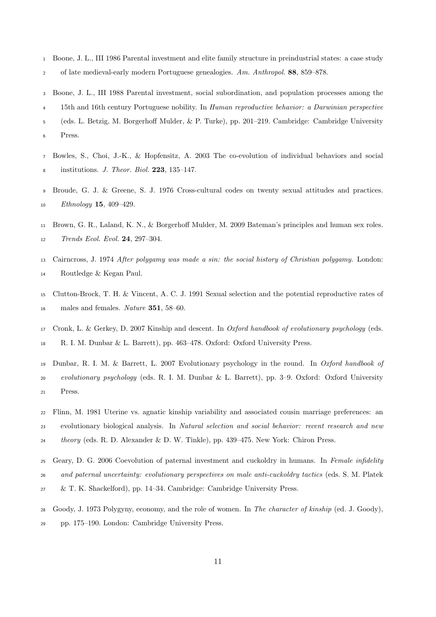- Boone, J. L., III 1986 Parental investment and elite family structure in preindustrial states: a case study of late medieval-early modern Portuguese genealogies. Am. Anthropol. 88, 859–878.
- Boone, J. L., III 1988 Parental investment, social subordination, and population processes among the
- 15th and 16th century Portuguese nobility. In Human reproductive behavior: a Darwinian perspective
- (eds. L. Betzig, M. Borgerhoff Mulder, & P. Turke), pp. 201–219. Cambridge: Cambridge University
- Press.
- Bowles, S., Choi, J.-K., & Hopfensitz, A. 2003 The co-evolution of individual behaviors and social institutions. J. Theor. Biol. 223, 135–147.
- Broude, G. J. & Greene, S. J. 1976 Cross-cultural codes on twenty sexual attitudes and practices. 10 Ethnology **15**, 409–429.
- Brown, G. R., Laland, K. N., & Borgerhoff Mulder, M. 2009 Bateman's principles and human sex roles. Trends Ecol. Evol. 24, 297–304.
- Cairncross, J. 1974 After polygamy was made a sin: the social history of Christian polygamy. London: Routledge & Kegan Paul.
- Clutton-Brock, T. H. & Vincent, A. C. J. 1991 Sexual selection and the potential reproductive rates of 16 males and females. Nature 351, 58–60.
- Cronk, L. & Gerkey, D. 2007 Kinship and descent. In Oxford handbook of evolutionary psychology (eds. R. I. M. Dunbar & L. Barrett), pp. 463–478. Oxford: Oxford University Press.
- Dunbar, R. I. M. & Barrett, L. 2007 Evolutionary psychology in the round. In Oxford handbook of evolutionary psychology (eds. R. I. M. Dunbar & L. Barrett), pp. 3–9. Oxford: Oxford University Press.
- Flinn, M. 1981 Uterine vs. agnatic kinship variability and associated cousin marriage preferences: an evolutionary biological analysis. In Natural selection and social behavior: recent research and new theory (eds. R. D. Alexander & D. W. Tinkle), pp. 439–475. New York: Chiron Press.
- 25 Geary, D. G. 2006 Coevolution of paternal investment and cuckoldry in humans. In Female infidelity and paternal uncertainty: evolutionary perspectives on male anti-cuckoldry tactics (eds. S. M. Platek
- & T. K. Shackelford), pp. 14–34. Cambridge: Cambridge University Press.
- Goody, J. 1973 Polygyny, economy, and the role of women. In The character of kinship (ed. J. Goody), pp. 175–190. London: Cambridge University Press.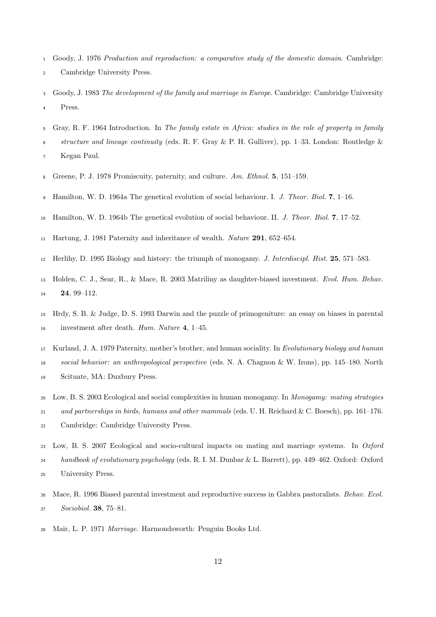- Goody, J. 1976 Production and reproduction: a comparative study of the domestic domain. Cambridge: Cambridge University Press.
- Goody, J. 1983 The development of the family and marriage in Europe. Cambridge: Cambridge University Press.
- Gray, R. F. 1964 Introduction. In The family estate in Africa: studies in the role of property in family
- $\epsilon$  structure and lineage continuity (eds. R. F. Gray & P. H. Gulliver), pp. 1–33. London: Routledge & Kegan Paul.
- Greene, P. J. 1978 Promiscuity, paternity, and culture. Am. Ethnol. 5, 151–159.
- 9 Hamilton, W. D. 1964a The genetical evolution of social behaviour. I. J. Theor. Biol. 7, 1–16.
- Hamilton, W. D. 1964b The genetical evolution of social behaviour. II. J. Theor. Biol. 7, 17–52.
- Hartung, J. 1981 Paternity and inheritance of wealth. Nature 291, 652–654.
- Herlihy, D. 1995 Biology and history: the triumph of monogamy. J. Interdiscipl. Hist. 25, 571–583.
- Holden, C. J., Sear, R., & Mace, R. 2003 Matriliny as daughter-biased investment. Evol. Hum. Behav. 24, 99–112.
- Hrdy, S. B. & Judge, D. S. 1993 Darwin and the puzzle of primogeniture: an essay on biases in parental investment after death. Hum. Nature 4, 1–45.
- Kurland, J. A. 1979 Paternity, mother's brother, and human sociality. In Evolutionary biology and human

social behavior: an anthropological perspective (eds. N. A. Chagnon & W. Irons), pp. 145–180. North

- Scituate, MA: Duxbury Press.
- Low, B. S. 2003 Ecological and social complexities in human monogamy. In Monogamy: mating strategies
- and partnerships in birds, humans and other mammals (eds. U. H. Reichard & C. Boesch), pp. 161–176.
- Cambridge: Cambridge University Press.
- Low, B. S. 2007 Ecological and socio-cultural impacts on mating and marriage systems. In Oxford handbook of evolutionary psychology (eds. R. I. M. Dunbar & L. Barrett), pp. 449–462. Oxford: Oxford University Press.
- Mace, R. 1996 Biased parental investment and reproductive success in Gabbra pastoralists. Behav. Ecol. Sociobiol. 38, 75–81.
- Mair, L. P. 1971 Marriage. Harmondsworth: Penguin Books Ltd.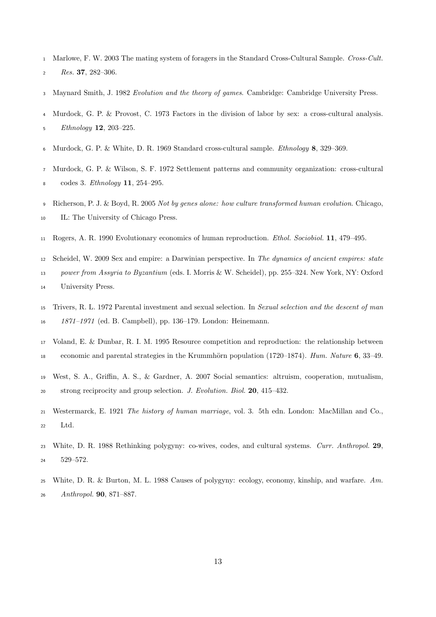- Marlowe, F. W. 2003 The mating system of foragers in the Standard Cross-Cultural Sample. Cross-Cult. Res. 37, 282-306.
- Maynard Smith, J. 1982 Evolution and the theory of games. Cambridge: Cambridge University Press.
- Murdock, G. P. & Provost, C. 1973 Factors in the division of labor by sex: a cross-cultural analysis. Ethnology 12, 203–225.
- Murdock, G. P. & White, D. R. 1969 Standard cross-cultural sample. Ethnology 8, 329–369.
- Murdock, G. P. & Wilson, S. F. 1972 Settlement patterns and community organization: cross-cultural codes 3. Ethnology 11, 254–295.
- Richerson, P. J. & Boyd, R. 2005 Not by genes alone: how culture transformed human evolution. Chicago, IL: The University of Chicago Press.
- Rogers, A. R. 1990 Evolutionary economics of human reproduction. Ethol. Sociobiol. 11, 479–495.
- Scheidel, W. 2009 Sex and empire: a Darwinian perspective. In The dynamics of ancient empires: state

power from Assyria to Byzantium (eds. I. Morris & W. Scheidel), pp. 255–324. New York, NY: Oxford

- University Press.
- Trivers, R. L. 1972 Parental investment and sexual selection. In Sexual selection and the descent of man 1871–1971 (ed. B. Campbell), pp. 136–179. London: Heinemann.
- Voland, E. & Dunbar, R. I. M. 1995 Resource competition and reproduction: the relationship between 18 economic and parental strategies in the Krummhörn population (1720–1874). Hum. Nature 6, 33–49.
- West, S. A., Griffin, A. S., & Gardner, A. 2007 Social semantics: altruism, cooperation, mutualism, strong reciprocity and group selection. J. Evolution. Biol. 20, 415–432.
- Westermarck, E. 1921 The history of human marriage, vol. 3. 5th edn. London: MacMillan and Co., Ltd.
- White, D. R. 1988 Rethinking polygyny: co-wives, codes, and cultural systems. Curr. Anthropol. 29, 529–572.
- White, D. R. & Burton, M. L. 1988 Causes of polygyny: ecology, economy, kinship, and warfare. Am. Anthropol. 90, 871–887.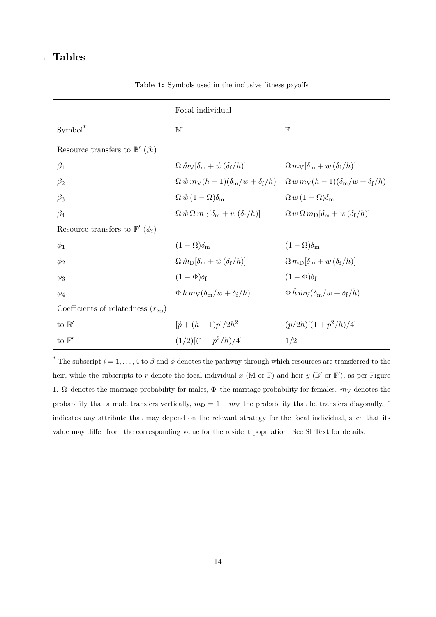# <sup>1</sup> Tables

|                                                | Focal individual                                                                     |                                                                                                     |
|------------------------------------------------|--------------------------------------------------------------------------------------|-----------------------------------------------------------------------------------------------------|
| $Symbol^*$                                     | M                                                                                    | $\mathbb F$                                                                                         |
| Resource transfers to $\mathbb{B}'(\beta_i)$   |                                                                                      |                                                                                                     |
| $\beta_1$                                      | $\Omega \, \mathring{m}_V[\delta_m + \mathring{w} \, (\delta_f/h)]$                  | $\Omega \, m_{\rm V}[\delta_{\rm m} + w \, (\delta_{\rm f}/h)]$                                     |
| $\beta_2$                                      | $\Omega\,\mathring{w}\,m_{\rm V}(h-1)(\delta_{\rm m}/w+\delta_{\rm f}/h)$            | $\Omega w m_V(h-1)(\delta_m/w+\delta_f/h)$                                                          |
| $\beta_3$                                      | $\Omega \,\mathring{w}\, (1-\Omega) \delta_{\rm m}$                                  | $\Omega w(1-\Omega)\delta_{\rm m}$                                                                  |
| $\beta_4$                                      | $\Omega \,\hat{w} \,\Omega \,m_{\rm D}[\delta_{\rm m}+w\,(\delta_{\rm f}/h)]$        | $\Omega w \Omega m_{\rm D}[\delta_{\rm m} + w (\delta_{\rm f}/h)]$                                  |
| Resource transfers to $\mathbb{F}'$ $(\phi_i)$ |                                                                                      |                                                                                                     |
| $\phi_1$                                       | $(1-\Omega)\delta_{\rm m}$                                                           | $(1-\Omega)\delta_{\rm m}$                                                                          |
| $\phi_2$                                       | $\Omega \,\mathring{m}_{\rm D}[\delta_{\rm m} + \mathring{w} \, (\delta_{\rm f}/h)]$ | $\Omega m_{\rm D}[\delta_{\rm m}+w(\delta_{\rm f}/h)]$                                              |
| $\phi_3$                                       | $(1-\Phi)\delta_{\rm f}$                                                             | $(1-\Phi)\delta_{\rm f}$                                                                            |
| $\phi_4$                                       | $\Phi$ h $m_{\rm V}(\delta_{\rm m}/w + \delta_{\rm f}/h)$                            | $\Phi \stackrel{\circ}{h} \stackrel{\circ}{m}_{\rm V}(\delta_{\rm m}/w + \delta_{\rm f}/\check{h})$ |
| Coefficients of relatedness $(r_{xy})$         |                                                                                      |                                                                                                     |
| to $\mathbb{B}'$                               | $[\hat{p} + (h-1)p]/2h^2$                                                            | $(p/2h)[(1+p^2/h)/4]$                                                                               |
| to $\mathbb{F}'$                               | $(1/2)[(1+p^2/h)/4]$                                                                 | 1/2                                                                                                 |

Table 1: Symbols used in the inclusive fitness payoffs

<sup>\*</sup> The subscript  $i = 1, \ldots, 4$  to  $\beta$  and  $\phi$  denotes the pathway through which resources are transferred to the heir, while the subscripts to r denote the focal individual x (M or F) and heir y ( $\mathbb{B}'$  or  $\mathbb{F}'$ ), as per Figure 1.  $\Omega$  denotes the marriage probability for males,  $\Phi$  the marriage probability for females.  $m<sub>V</sub>$  denotes the probability that a male transfers vertically,  $m_D = 1 - m_V$  the probability that he transfers diagonally. <sup>°</sup> indicates any attribute that may depend on the relevant strategy for the focal individual, such that its value may differ from the corresponding value for the resident population. See SI Text for details.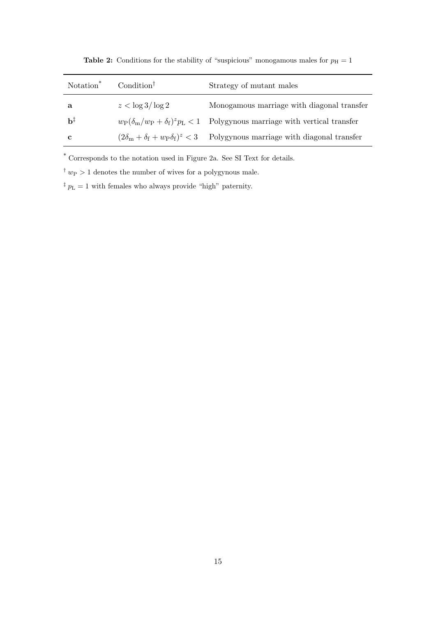| Notation <sup>*</sup> | Condition <sup><math>\dagger</math></sup> | Strategy of mutant males                                                                                        |
|-----------------------|-------------------------------------------|-----------------------------------------------------------------------------------------------------------------|
| a                     | $z < \log 3 / \log 2$                     | Monogamous marriage with diagonal transfer                                                                      |
| b‡                    |                                           | $w_P(\delta_m/w_P + \delta_f)^2 p_L < 1$ Polygynous marriage with vertical transfer                             |
| C                     |                                           | $(2\delta_{\rm m} + \delta_{\rm f} + w_{\rm P}\delta_{\rm f})^z < 3$ Polygynous marriage with diagonal transfer |

**Table 2:** Conditions for the stability of "suspicious" monogamous males for  $p<sub>H</sub> = 1$ 

 $^\ast$  Corresponds to the notation used in Figure 2a. See SI Text for details.

<sup>†</sup>  $w_P > 1$  denotes the number of wives for a polygynous male.

 $^\ddag\,p_{\rm L}=1$  with females who always provide "high" paternity.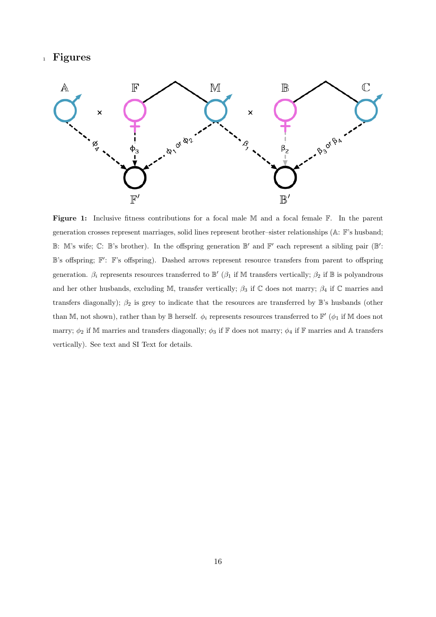## <sup>1</sup> Figures



Figure 1: Inclusive fitness contributions for a focal male M and a focal female F. In the parent generation crosses represent marriages, solid lines represent brother–sister relationships (A: F's husband;  $\mathbb{B}$ : M's wife;  $\mathbb{C}$ :  $\mathbb{B}$ 's brother). In the offspring generation  $\mathbb{B}'$  and  $\mathbb{F}'$  each represent a sibling pair ( $\mathbb{B}'$ : B's offspring;  $\mathbb{F}'$ : F's offspring). Dashed arrows represent resource transfers from parent to offspring generation.  $\beta_i$  represents resources transferred to  $\mathbb{B}'$  ( $\beta_1$  if M transfers vertically;  $\beta_2$  if  $\mathbb{B}$  is polyandrous and her other husbands, excluding M, transfer vertically;  $\beta_3$  if C does not marry;  $\beta_4$  if C marries and transfers diagonally);  $\beta_2$  is grey to indicate that the resources are transferred by  $\mathbb{B}$ 's husbands (other than M, not shown), rather than by B herself.  $\phi_i$  represents resources transferred to  $\mathbb{F}'$  ( $\phi_1$  if M does not marry;  $\phi_2$  if M marries and transfers diagonally;  $\phi_3$  if  $\mathbb F$  does not marry;  $\phi_4$  if  $\mathbb F$  marries and A transfers vertically). See text and SI Text for details.